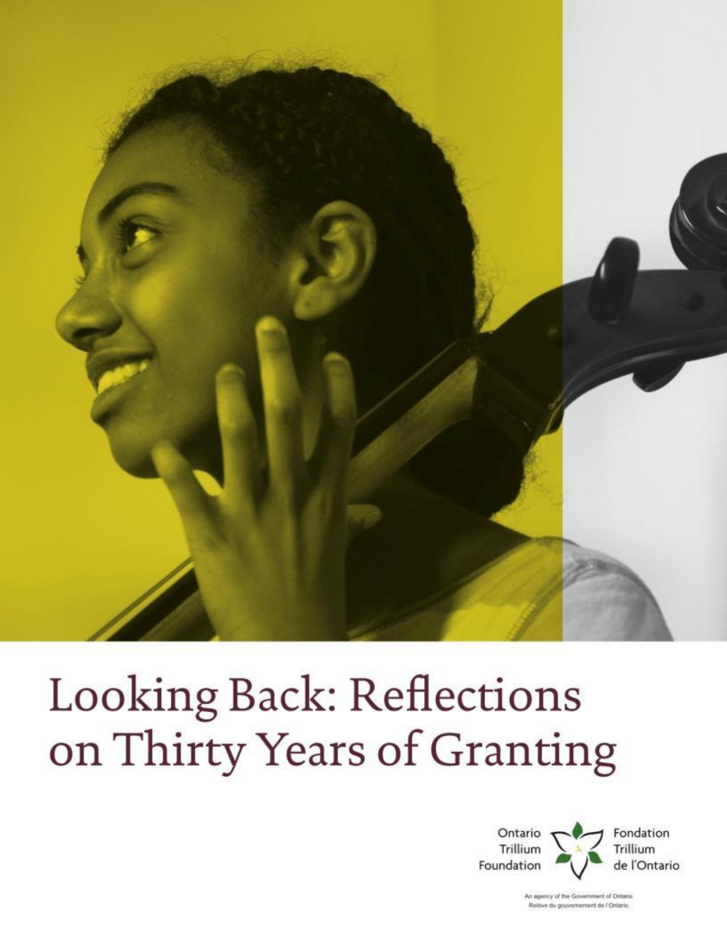

# Looking Back: Reflections on Thirty Years of Granting



An agency of the Government of Ontario. Relève du gouvernement de l'Ontario.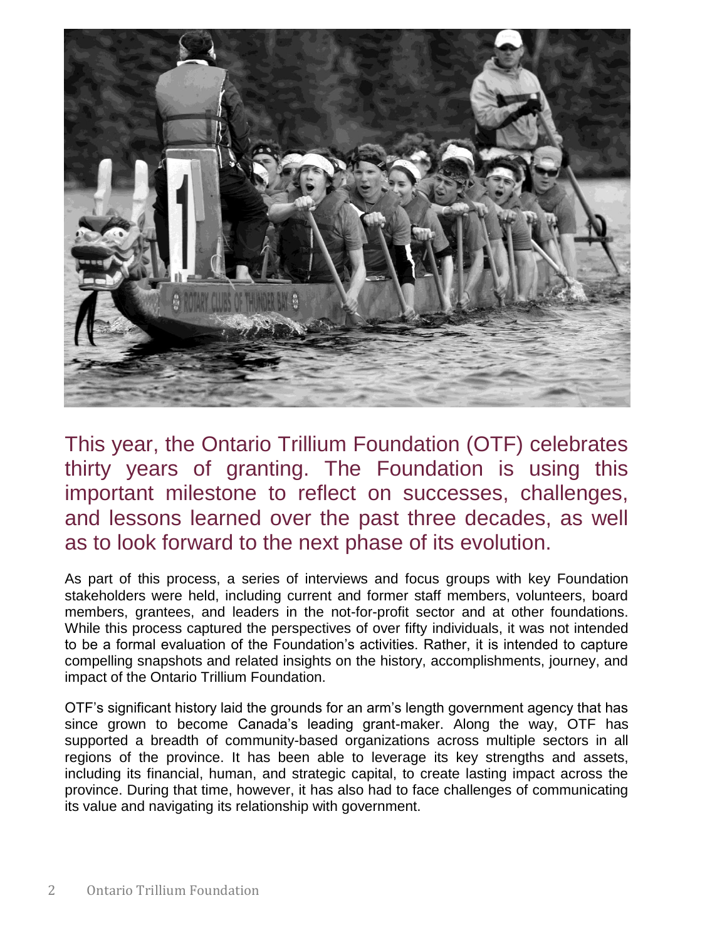

This year, the Ontario Trillium Foundation (OTF) celebrates thirty years of granting. The Foundation is using this important milestone to reflect on successes, challenges, and lessons learned over the past three decades, as well as to look forward to the next phase of its evolution.

As part of this process, a series of interviews and focus groups with key Foundation stakeholders were held, including current and former staff members, volunteers, board members, grantees, and leaders in the not-for-profit sector and at other foundations. While this process captured the perspectives of over fifty individuals, it was not intended to be a formal evaluation of the Foundation's activities. Rather, it is intended to capture compelling snapshots and related insights on the history, accomplishments, journey, and impact of the Ontario Trillium Foundation.

OTF's significant history laid the grounds for an arm's length government agency that has since grown to become Canada's leading grant-maker. Along the way, OTF has supported a breadth of community-based organizations across multiple sectors in all regions of the province. It has been able to leverage its key strengths and assets, including its financial, human, and strategic capital, to create lasting impact across the province. During that time, however, it has also had to face challenges of communicating its value and navigating its relationship with government.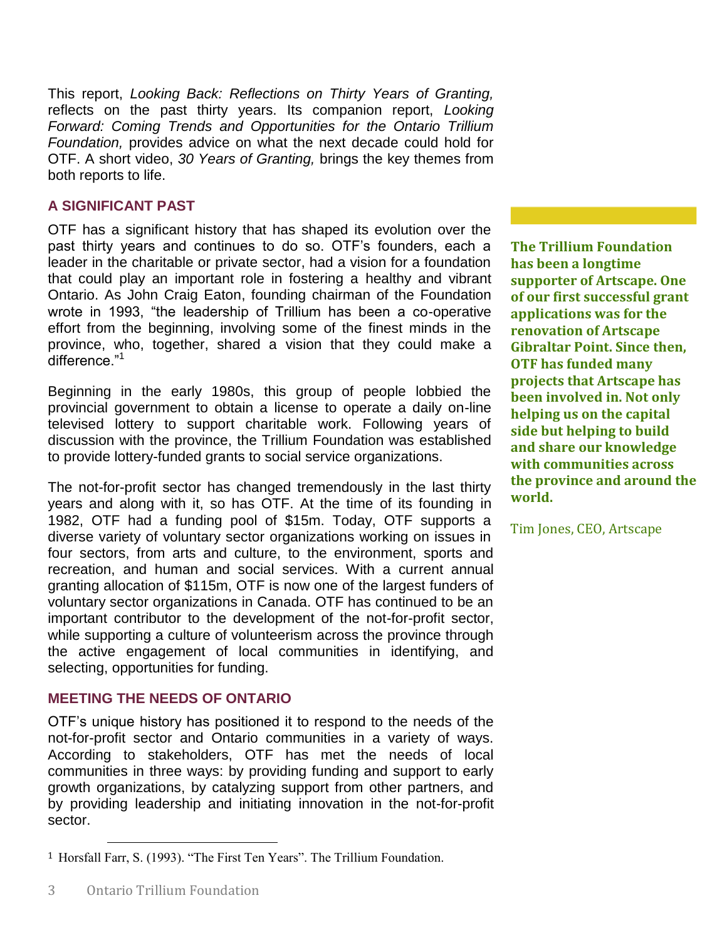This report, *Looking Back: Reflections on Thirty Years of Granting,*  reflects on the past thirty years. Its companion report, *Looking Forward: Coming Trends and Opportunities for the Ontario Trillium Foundation,* provides advice on what the next decade could hold for OTF. A short video, *30 Years of Granting,* brings the key themes from both reports to life.

## **A SIGNIFICANT PAST**

OTF has a significant history that has shaped its evolution over the past thirty years and continues to do so. OTF's founders, each a leader in the charitable or private sector, had a vision for a foundation that could play an important role in fostering a healthy and vibrant Ontario. As John Craig Eaton, founding chairman of the Foundation wrote in 1993, "the leadership of Trillium has been a co-operative effort from the beginning, involving some of the finest minds in the province, who, together, shared a vision that they could make a difference."<sup>1</sup>

Beginning in the early 1980s, this group of people lobbied the provincial government to obtain a license to operate a daily on-line televised lottery to support charitable work. Following years of discussion with the province, the Trillium Foundation was established to provide lottery-funded grants to social service organizations.

The not-for-profit sector has changed tremendously in the last thirty years and along with it, so has OTF. At the time of its founding in 1982, OTF had a funding pool of \$15m. Today, OTF supports a diverse variety of voluntary sector organizations working on issues in four sectors, from arts and culture, to the environment, sports and recreation, and human and social services. With a current annual granting allocation of \$115m, OTF is now one of the largest funders of voluntary sector organizations in Canada. OTF has continued to be an important contributor to the development of the not-for-profit sector, while supporting a culture of volunteerism across the province through the active engagement of local communities in identifying, and selecting, opportunities for funding.

#### **MEETING THE NEEDS OF ONTARIO**

OTF's unique history has positioned it to respond to the needs of the not-for-profit sector and Ontario communities in a variety of ways. According to stakeholders, OTF has met the needs of local communities in three ways: by providing funding and support to early growth organizations, by catalyzing support from other partners, and by providing leadership and initiating innovation in the not-for-profit sector.

**The Trillium Foundation has been a longtime supporter of Artscape. One of our first successful grant applications was for the renovation of Artscape Gibraltar Point. Since then, OTF has funded many projects that Artscape has been involved in. Not only helping us on the capital side but helping to build and share our knowledge with communities across the province and around the world.**

Tim Jones, CEO, Artscape

l

<sup>1</sup> Horsfall Farr, S. (1993). "The First Ten Years". The Trillium Foundation.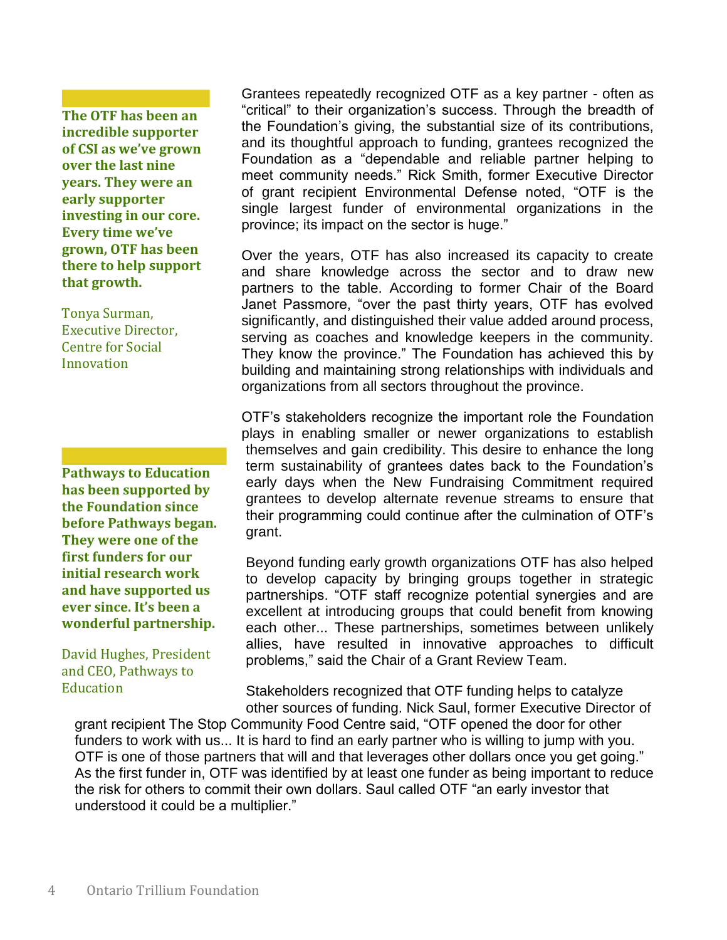**The OTF has been an incredible supporter of CSI as we've grown over the last nine years. They were an early supporter investing in our core. Every time we've grown, OTF has been there to help support that growth.**

Tonya Surman, Executive Director, Centre for Social Innovation

**Pathways to Education has been supported by the Foundation since before Pathways began. They were one of the first funders for our initial research work and have supported us ever since. It's been a wonderful partnership.**

David Hughes, President and CEO, Pathways to **Education** 

Grantees repeatedly recognized OTF as a key partner - often as "critical" to their organization's success. Through the breadth of the Foundation's giving, the substantial size of its contributions, and its thoughtful approach to funding, grantees recognized the Foundation as a "dependable and reliable partner helping to meet community needs." Rick Smith, former Executive Director of grant recipient Environmental Defense noted, "OTF is the single largest funder of environmental organizations in the province; its impact on the sector is huge."

Over the years, OTF has also increased its capacity to create and share knowledge across the sector and to draw new partners to the table. According to former Chair of the Board Janet Passmore, "over the past thirty years, OTF has evolved significantly, and distinguished their value added around process, serving as coaches and knowledge keepers in the community. They know the province." The Foundation has achieved this by building and maintaining strong relationships with individuals and organizations from all sectors throughout the province.

OTF's stakeholders recognize the important role the Foundation plays in enabling smaller or newer organizations to establish themselves and gain credibility. This desire to enhance the long term sustainability of grantees dates back to the Foundation's early days when the New Fundraising Commitment required grantees to develop alternate revenue streams to ensure that their programming could continue after the culmination of OTF's grant.

Beyond funding early growth organizations OTF has also helped to develop capacity by bringing groups together in strategic partnerships. "OTF staff recognize potential synergies and are excellent at introducing groups that could benefit from knowing each other... These partnerships, sometimes between unlikely allies, have resulted in innovative approaches to difficult problems," said the Chair of a Grant Review Team.

Stakeholders recognized that OTF funding helps to catalyze other sources of funding. Nick Saul, former Executive Director of

grant recipient The Stop Community Food Centre said, "OTF opened the door for other funders to work with us... It is hard to find an early partner who is willing to jump with you. OTF is one of those partners that will and that leverages other dollars once you get going." As the first funder in, OTF was identified by at least one funder as being important to reduce the risk for others to commit their own dollars. Saul called OTF "an early investor that understood it could be a multiplier."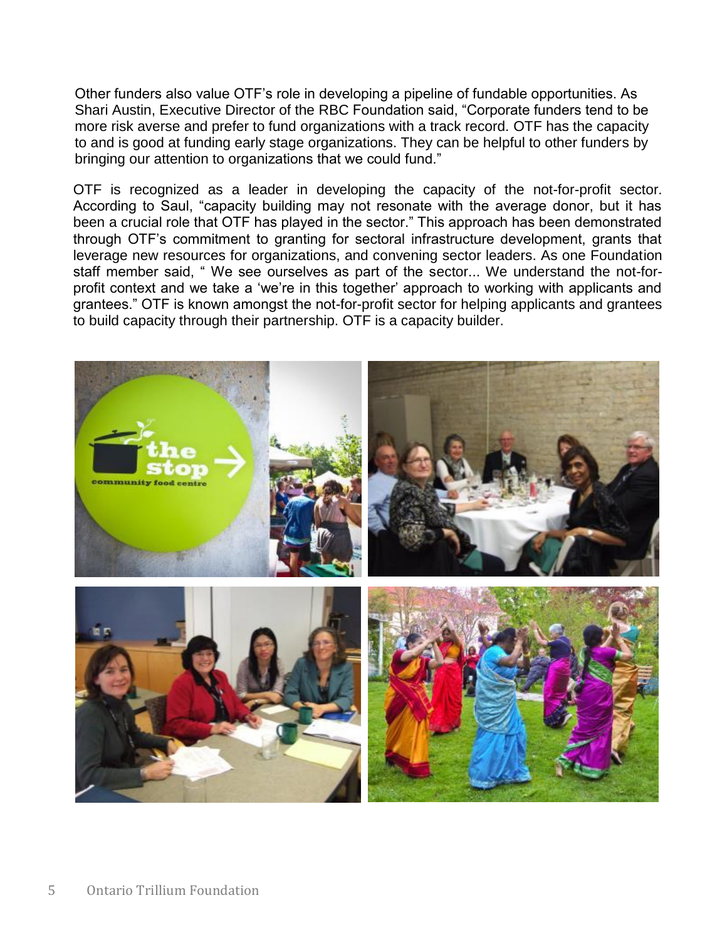Other funders also value OTF's role in developing a pipeline of fundable opportunities. As Shari Austin, Executive Director of the RBC Foundation said, "Corporate funders tend to be more risk averse and prefer to fund organizations with a track record. OTF has the capacity to and is good at funding early stage organizations. They can be helpful to other funders by bringing our attention to organizations that we could fund."

OTF is recognized as a leader in developing the capacity of the not-for-profit sector. According to Saul, "capacity building may not resonate with the average donor, but it has been a crucial role that OTF has played in the sector." This approach has been demonstrated through OTF's commitment to granting for sectoral infrastructure development, grants that leverage new resources for organizations, and convening sector leaders. As one Foundation staff member said, " We see ourselves as part of the sector... We understand the not-forprofit context and we take a 'we're in this together' approach to working with applicants and grantees." OTF is known amongst the not-for-profit sector for helping applicants and grantees to build capacity through their partnership. OTF is a capacity builder.

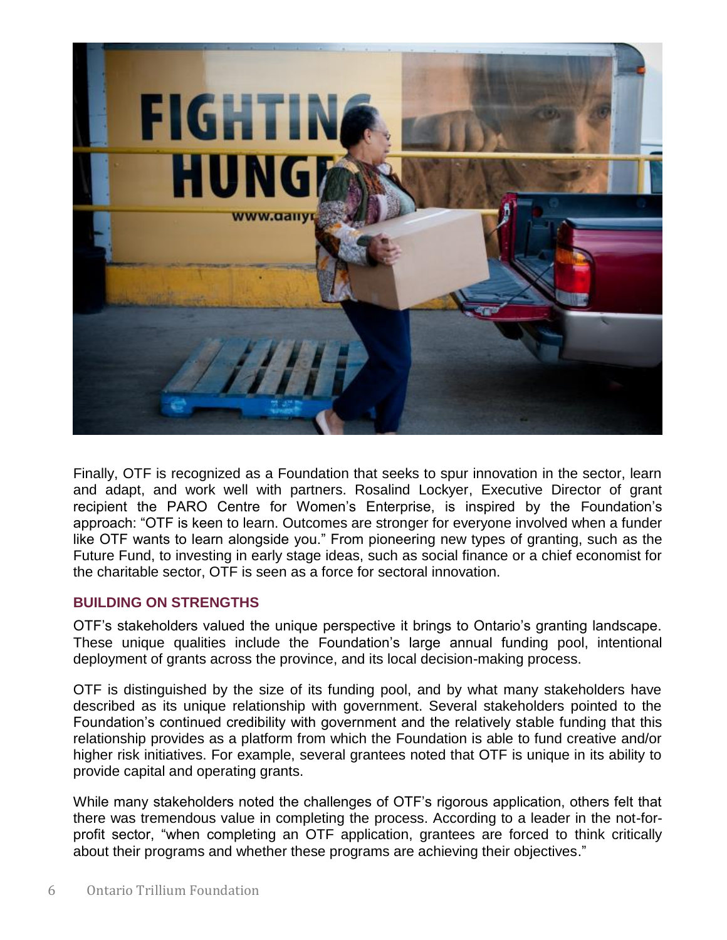

Finally, OTF is recognized as a Foundation that seeks to spur innovation in the sector, learn and adapt, and work well with partners. Rosalind Lockyer, Executive Director of grant recipient the PARO Centre for Women's Enterprise, is inspired by the Foundation's approach: "OTF is keen to learn. Outcomes are stronger for everyone involved when a funder like OTF wants to learn alongside you." From pioneering new types of granting, such as the Future Fund, to investing in early stage ideas, such as social finance or a chief economist for the charitable sector, OTF is seen as a force for sectoral innovation.

#### **BUILDING ON STRENGTHS**

OTF's stakeholders valued the unique perspective it brings to Ontario's granting landscape. These unique qualities include the Foundation's large annual funding pool, intentional deployment of grants across the province, and its local decision-making process.

OTF is distinguished by the size of its funding pool, and by what many stakeholders have described as its unique relationship with government. Several stakeholders pointed to the Foundation's continued credibility with government and the relatively stable funding that this relationship provides as a platform from which the Foundation is able to fund creative and/or higher risk initiatives. For example, several grantees noted that OTF is unique in its ability to provide capital and operating grants.

While many stakeholders noted the challenges of OTF's rigorous application, others felt that there was tremendous value in completing the process. According to a leader in the not-forprofit sector, "when completing an OTF application, grantees are forced to think critically about their programs and whether these programs are achieving their objectives."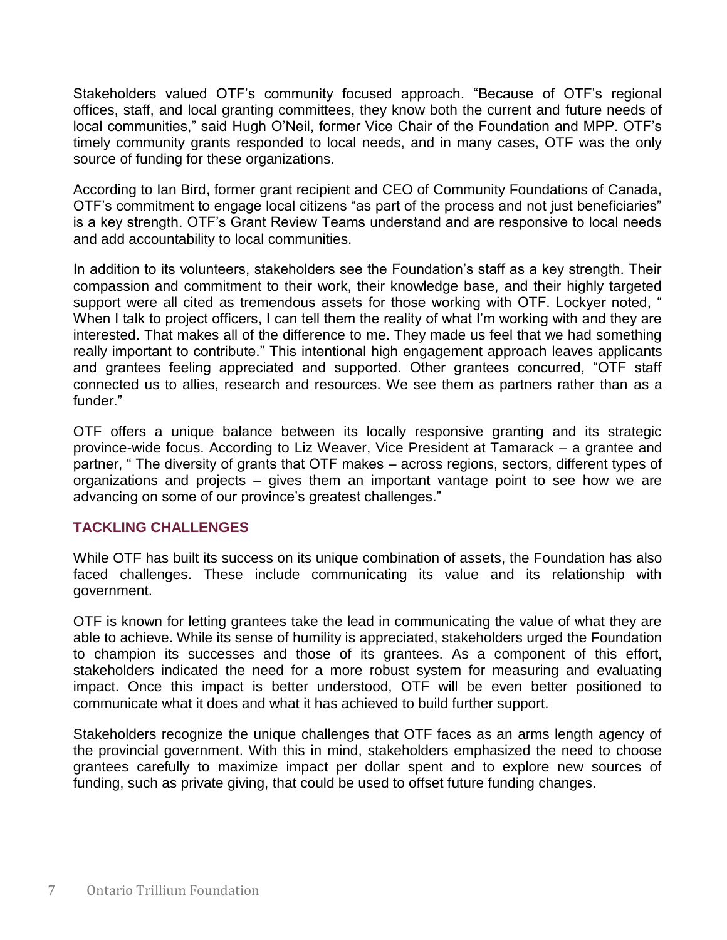Stakeholders valued OTF's community focused approach. "Because of OTF's regional offices, staff, and local granting committees, they know both the current and future needs of local communities," said Hugh O'Neil, former Vice Chair of the Foundation and MPP. OTF's timely community grants responded to local needs, and in many cases, OTF was the only source of funding for these organizations.

According to Ian Bird, former grant recipient and CEO of Community Foundations of Canada, OTF's commitment to engage local citizens "as part of the process and not just beneficiaries" is a key strength. OTF's Grant Review Teams understand and are responsive to local needs and add accountability to local communities.

In addition to its volunteers, stakeholders see the Foundation's staff as a key strength. Their compassion and commitment to their work, their knowledge base, and their highly targeted support were all cited as tremendous assets for those working with OTF. Lockyer noted, " When I talk to project officers, I can tell them the reality of what I'm working with and they are interested. That makes all of the difference to me. They made us feel that we had something really important to contribute." This intentional high engagement approach leaves applicants and grantees feeling appreciated and supported. Other grantees concurred, "OTF staff connected us to allies, research and resources. We see them as partners rather than as a funder."

OTF offers a unique balance between its locally responsive granting and its strategic province-wide focus. According to Liz Weaver, Vice President at Tamarack – a grantee and partner, " The diversity of grants that OTF makes – across regions, sectors, different types of organizations and projects – gives them an important vantage point to see how we are advancing on some of our province's greatest challenges."

#### **TACKLING CHALLENGES**

While OTF has built its success on its unique combination of assets, the Foundation has also faced challenges. These include communicating its value and its relationship with government.

OTF is known for letting grantees take the lead in communicating the value of what they are able to achieve. While its sense of humility is appreciated, stakeholders urged the Foundation to champion its successes and those of its grantees. As a component of this effort, stakeholders indicated the need for a more robust system for measuring and evaluating impact. Once this impact is better understood, OTF will be even better positioned to communicate what it does and what it has achieved to build further support.

Stakeholders recognize the unique challenges that OTF faces as an arms length agency of the provincial government. With this in mind, stakeholders emphasized the need to choose grantees carefully to maximize impact per dollar spent and to explore new sources of funding, such as private giving, that could be used to offset future funding changes.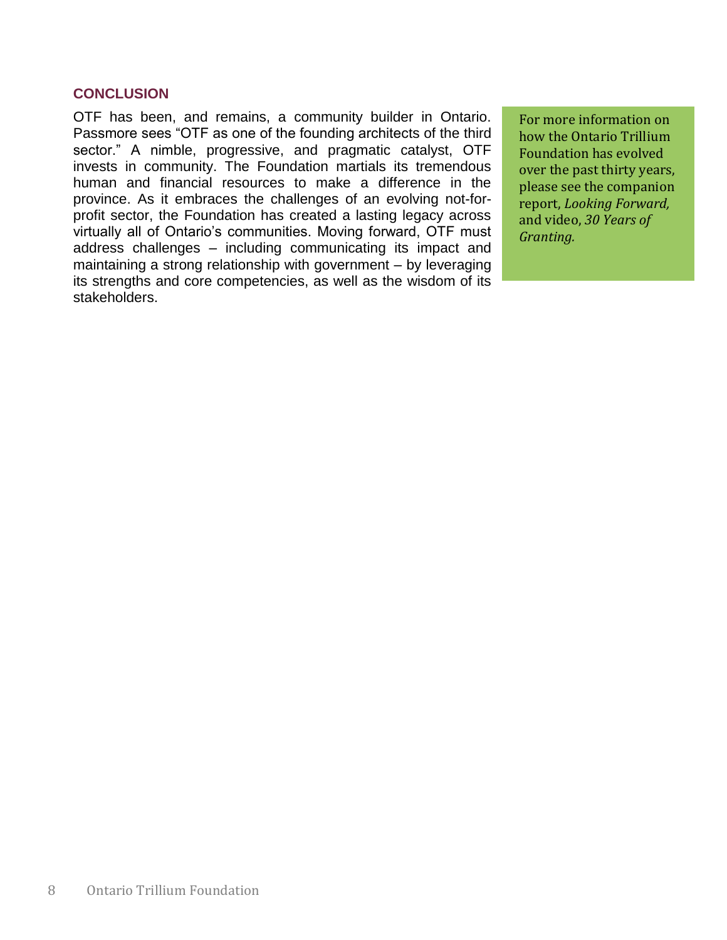## **CONCLUSION**

OTF has been, and remains, a community builder in Ontario. Passmore sees "OTF as one of the founding architects of the third sector." A nimble, progressive, and pragmatic catalyst, OTF invests in community. The Foundation martials its tremendous human and financial resources to make a difference in the province. As it embraces the challenges of an evolving not-forprofit sector, the Foundation has created a lasting legacy across virtually all of Ontario's communities. Moving forward, OTF must address challenges – including communicating its impact and maintaining a strong relationship with government – by leveraging its strengths and core competencies, as well as the wisdom of its stakeholders.

For more information on how the Ontario Trillium Foundation has evolved over the past thirty years, please see the companion report, *Looking Forward,*  and video, *30 Years of Granting.*